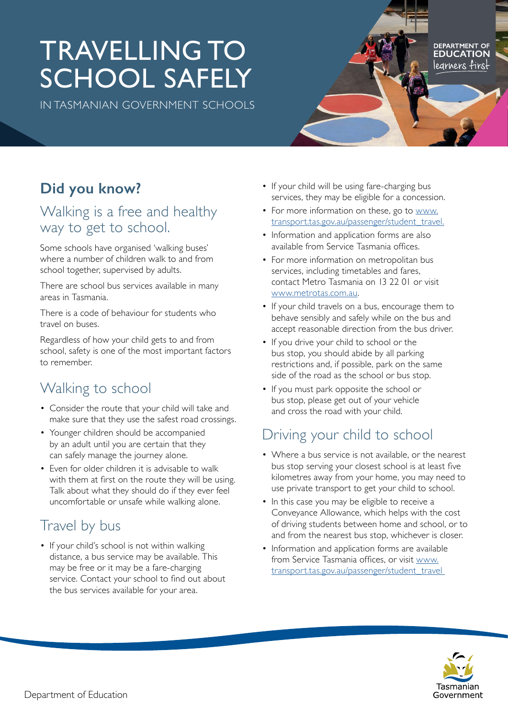# TRAVELLING TO SCHOOL SAFELY

IN TASMANIAN GOVERNMENT SCHOOLS

## **Did you know?**

#### Walking is a free and healthy way to get to school.

Some schools have organised 'walking buses' where a number of children walk to and from school together, supervised by adults.

There are school bus services available in many areas in Tasmania.

There is a code of behaviour for students who travel on buses.

Regardless of how your child gets to and from school, safety is one of the most important factors to remember.

# Walking to school

- Consider the route that your child will take and make sure that they use the safest road crossings.
- Younger children should be accompanied by an adult until you are certain that they can safely manage the journey alone.
- Even for older children it is advisable to walk with them at first on the route they will be using. Talk about what they should do if they ever feel uncomfortable or unsafe while walking alone.

# Travel by bus

• If your child's school is not within walking distance, a bus service may be available. This may be free or it may be a fare-charging service. Contact your school to find out about the bus services available for your area.

- If your child will be using fare-charging bus services, they may be eligible for a concession.
- For more information on these, go to [www.](http://www.transport.tas.gov.au/passenger/student_travel.) [transport.tas.gov.au/passenger/student\\_travel.](http://www.transport.tas.gov.au/passenger/student_travel.)
- Information and application forms are also available from Service Tasmania offices.
- For more information on metropolitan bus services, including timetables and fares, contact Metro Tasmania on 13 22 01 or visit [www.metrotas.com.au](http://www.metrotas.com.au).
- If your child travels on a bus, encourage them to behave sensibly and safely while on the bus and accept reasonable direction from the bus driver.
- If you drive your child to school or the bus stop, you should abide by all parking restrictions and, if possible, park on the same side of the road as the school or bus stop.
- If you must park opposite the school or bus stop, please get out of your vehicle and cross the road with your child.

### Driving your child to school

- Where a bus service is not available, or the nearest bus stop serving your closest school is at least five kilometres away from your home, you may need to use private transport to get your child to school.
- In this case you may be eligible to receive a Conveyance Allowance, which helps with the cost of driving students between home and school, or to and from the nearest bus stop, whichever is closer.
- Information and application forms are available from Service Tasmania offices, or visit [www.](http://www.transport.tas.gov.au/passenger/student_travel ) [transport.tas.gov.au/passenger/student\\_travel](http://www.transport.tas.gov.au/passenger/student_travel )



DEPARTMENT OF legrners first